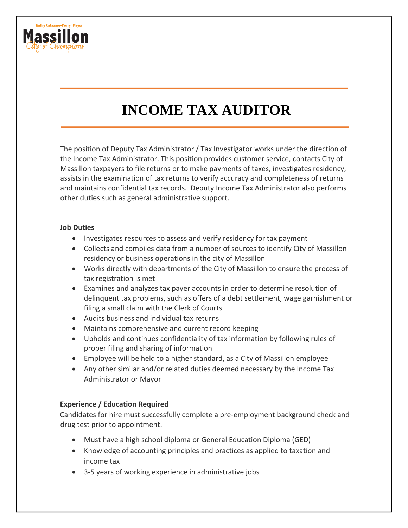

# **INCOME TAX AUDITOR**

The position of Deputy Tax Administrator / Tax Investigator works under the direction of the Income Tax Administrator. This position provides customer service, contacts City of Massillon taxpayers to file returns or to make payments of taxes, investigates residency, assists in the examination of tax returns to verify accuracy and completeness of returns and maintains confidential tax records. Deputy Income Tax Administrator also performs other duties such as general administrative support.

#### **Job Duties**

- Investigates resources to assess and verify residency for tax payment
- Collects and compiles data from a number of sources to identify City of Massillon residency or business operations in the city of Massillon
- Works directly with departments of the City of Massillon to ensure the process of tax registration is met
- Examines and analyzes tax payer accounts in order to determine resolution of delinquent tax problems, such as offers of a debt settlement, wage garnishment or filing a small claim with the Clerk of Courts
- Audits business and individual tax returns
- Maintains comprehensive and current record keeping
- Upholds and continues confidentiality of tax information by following rules of proper filing and sharing of information
- Employee will be held to a higher standard, as a City of Massillon employee
- Any other similar and/or related duties deemed necessary by the Income Tax Administrator or Mayor

# **Experience / Education Required**

Candidates for hire must successfully complete a pre-employment background check and drug test prior to appointment.

- Must have a high school diploma or General Education Diploma (GED)
- Knowledge of accounting principles and practices as applied to taxation and income tax
- 3-5 years of working experience in administrative jobs